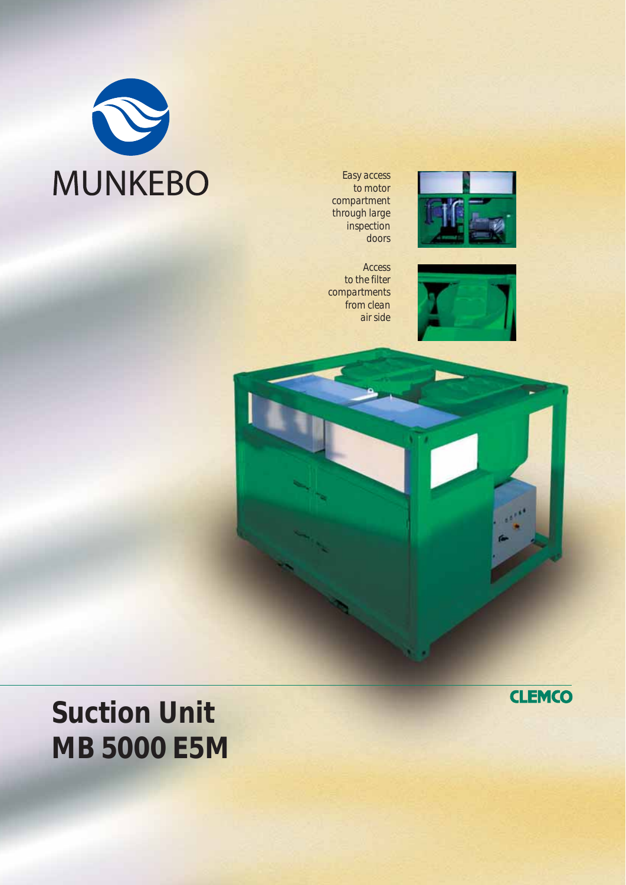

*Easy access to motor compartment through large inspection doors*



*Access to the filter compartments from clean air side*





## **Suction Unit MB 5000 E5M**